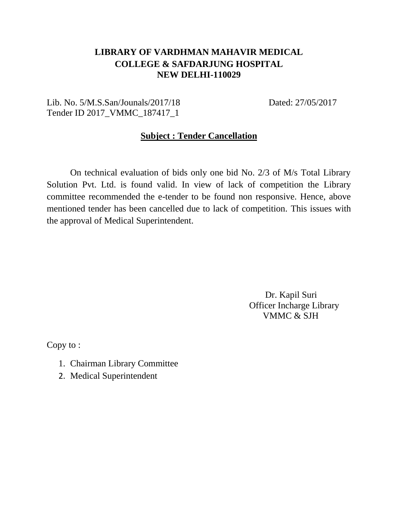## **LIBRARY OF VARDHMAN MAHAVIR MEDICAL COLLEGE & SAFDARJUNG HOSPITAL NEW DELHI-110029**

### Lib. No. 5/M.S.San/Jounals/2017/18 Dated: 27/05/2017 Tender ID 2017\_VMMC\_187417\_1

#### **Subject : Tender Cancellation**

On technical evaluation of bids only one bid No. 2/3 of M/s Total Library Solution Pvt. Ltd. is found valid. In view of lack of competition the Library committee recommended the e-tender to be found non responsive. Hence, above mentioned tender has been cancelled due to lack of competition. This issues with the approval of Medical Superintendent.

> Dr. Kapil Suri Officer Incharge Library VMMC & SJH

Copy to :

- 1. Chairman Library Committee
- 2. Medical Superintendent